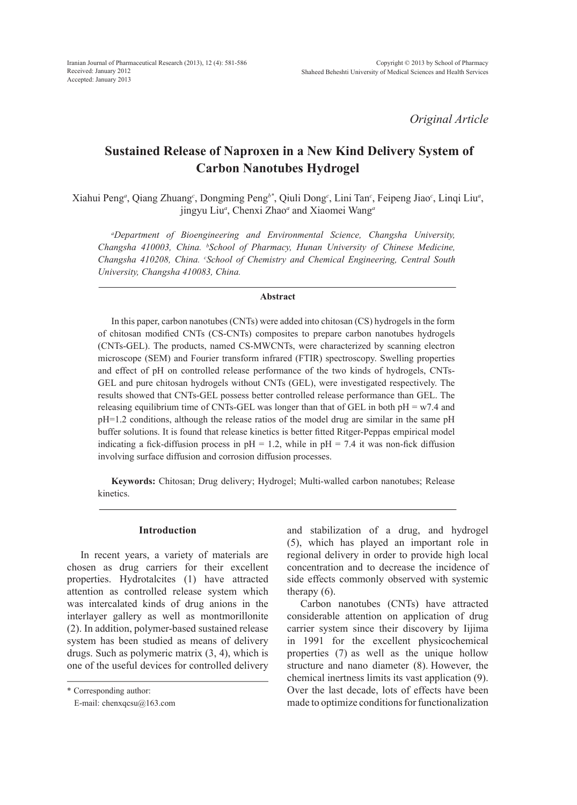*Original Article*

# **Sustained Release of Naproxen in a New Kind Delivery System of Carbon Nanotubes Hydrogel**

Xiahui Peng*<sup>a</sup>* , Qiang Zhuang*<sup>c</sup>* , Dongming Peng*b\**, Qiuli Dong*<sup>c</sup>* , Lini Tan*<sup>c</sup>* , Feipeng Jiao*<sup>c</sup>* , Linqi Liu*<sup>a</sup>* , jingyu Liu*<sup>a</sup>* , Chenxi Zhao*<sup>a</sup>* and Xiaomei Wang*<sup>a</sup>*

*a Department of Bioengineering and Environmental Science, Changsha University, Changsha 410003, China. b School of Pharmacy, Hunan University of Chinese Medicine, Changsha 410208, China. c School of Chemistry and Chemical Engineering, Central South University, Changsha 410083, China.*

#### **Abstract**

In this paper, carbon nanotubes (CNTs) were added into chitosan (CS) hydrogels in the form of chitosan modified CNTs (CS-CNTs) composites to prepare carbon nanotubes hydrogels (CNTs-GEL). The products, named CS-MWCNTs, were characterized by scanning electron microscope (SEM) and Fourier transform infrared (FTIR) spectroscopy. Swelling properties and effect of pH on controlled release performance of the two kinds of hydrogels, CNTs-GEL and pure chitosan hydrogels without CNTs (GEL), were investigated respectively. The results showed that CNTs-GEL possess better controlled release performance than GEL. The releasing equilibrium time of CNTs-GEL was longer than that of GEL in both  $pH = w7.4$  and pH=1.2 conditions, although the release ratios of the model drug are similar in the same pH buffer solutions. It is found that release kinetics is better fitted Ritger-Peppas empirical model indicating a fick-diffusion process in  $pH = 1.2$ , while in  $pH = 7.4$  it was non-fick diffusion involving surface diffusion and corrosion diffusion processes.

**Keywords:** Chitosan; Drug delivery; Hydrogel; Multi-walled carbon nanotubes; Release kinetics.

#### **Introduction**

In recent years, a variety of materials are chosen as drug carriers for their excellent properties. Hydrotalcites (1) have attracted attention as controlled release system which was intercalated kinds of drug anions in the interlayer gallery as well as montmorillonite (2). In addition, polymer-based sustained release system has been studied as means of delivery drugs. Such as polymeric matrix (3, 4), which is one of the useful devices for controlled delivery and stabilization of a drug, and hydrogel (5), which has played an important role in regional delivery in order to provide high local concentration and to decrease the incidence of side effects commonly observed with systemic therapy (6).

Carbon nanotubes (CNTs) have attracted considerable attention on application of drug carrier system since their discovery by Iijima in 1991 for the excellent physicochemical properties (7) as well as the unique hollow structure and nano diameter (8). However, the chemical inertness limits its vast application (9). Over the last decade, lots of effects have been made to optimize conditions for functionalization

<sup>\*</sup> Corresponding author:

E-mail: chenxqcsu@163.com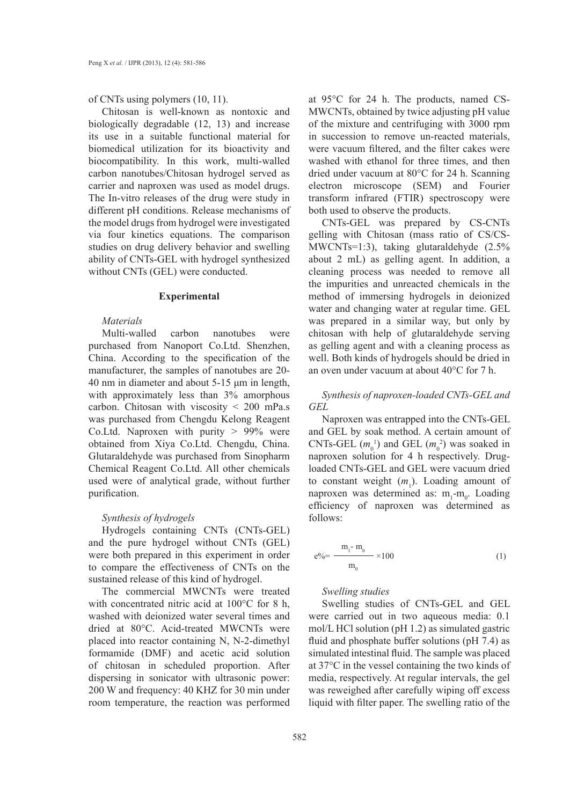of CNTs using polymers (10, 11).

Chitosan is well-known as nontoxic and biologically degradable (12, 13) and increase its use in a suitable functional material for biomedical utilization for its bioactivity and biocompatibility. In this work, multi-walled carbon nanotubes/Chitosan hydrogel served as carrier and naproxen was used as model drugs. The In-vitro releases of the drug were study in different pH conditions. Release mechanisms of the model drugs from hydrogel were investigated via four kinetics equations. The comparison studies on drug delivery behavior and swelling ability of CNTs-GEL with hydrogel synthesized without CNTs (GEL) were conducted.

#### **Experimental**

## *Materials*

Multi-walled carbon nanotubes were purchased from Nanoport Co.Ltd. Shenzhen, China. According to the specification of the manufacturer, the samples of nanotubes are 20- 40 nm in diameter and about 5-15 μm in length, with approximately less than 3% amorphous carbon. Chitosan with viscosity < 200 mPa.s was purchased from Chengdu Kelong Reagent Co.Ltd. Naproxen with purity  $> 99\%$  were obtained from Xiya Co.Ltd. Chengdu, China. Glutaraldehyde was purchased from Sinopharm Chemical Reagent Co.Ltd. All other chemicals used were of analytical grade, without further purification.

## *Synthesis of hydrogels*

Hydrogels containing CNTs (CNTs-GEL) and the pure hydrogel without CNTs (GEL) were both prepared in this experiment in order to compare the effectiveness of CNTs on the sustained release of this kind of hydrogel.

The commercial MWCNTs were treated with concentrated nitric acid at 100°C for 8 h, washed with deionized water several times and dried at 80°C. Acid-treated MWCNTs were placed into reactor containing N, N-2-dimethyl formamide (DMF) and acetic acid solution of chitosan in scheduled proportion. After dispersing in sonicator with ultrasonic power: 200 W and frequency: 40 KHZ for 30 min under room temperature, the reaction was performed at 95°C for 24 h. The products, named CS-MWCNTs, obtained by twice adjusting pH value of the mixture and centrifuging with 3000 rpm in succession to remove un-reacted materials, were vacuum filtered, and the filter cakes were washed with ethanol for three times, and then dried under vacuum at 80°C for 24 h. Scanning electron microscope (SEM) and Fourier transform infrared (FTIR) spectroscopy were both used to observe the products.

CNTs-GEL was prepared by CS-CNTs gelling with Chitosan (mass ratio of CS/CS-MWCNTs=1:3), taking glutaraldehyde (2.5% about 2 mL) as gelling agent. In addition, a cleaning process was needed to remove all the impurities and unreacted chemicals in the method of immersing hydrogels in deionized water and changing water at regular time. GEL was prepared in a similar way, but only by chitosan with help of glutaraldehyde serving as gelling agent and with a cleaning process as well. Both kinds of hydrogels should be dried in an oven under vacuum at about 40°C for 7 h.

*Synthesis of naproxen-loaded CNTs-GEL and GEL*

Naproxen was entrapped into the CNTs-GEL and GEL by soak method. A certain amount of CNTs-GEL  $(m_0^1)$  and GEL  $(m_0^2)$  was soaked in naproxen solution for 4 h respectively. Drugloaded CNTs-GEL and GEL were vacuum dried to constant weight  $(m_1)$ . Loading amount of naproxen was determined as:  $m_1$ - $m_0$ . Loading efficiency of naproxen was determined as follows:

$$
e^{0.06} = \frac{m_1 - m_0}{m_0} \times 100
$$
 (1)

## *Swelling studies*

Swelling studies of CNTs-GEL and GEL were carried out in two aqueous media: 0.1 mol/L HCl solution (pH 1.2) as simulated gastric fluid and phosphate buffer solutions (pH 7.4) as simulated intestinal fluid. The sample was placed at 37°C in the vessel containing the two kinds of media, respectively. At regular intervals, the gel was reweighed after carefully wiping off excess liquid with filter paper. The swelling ratio of the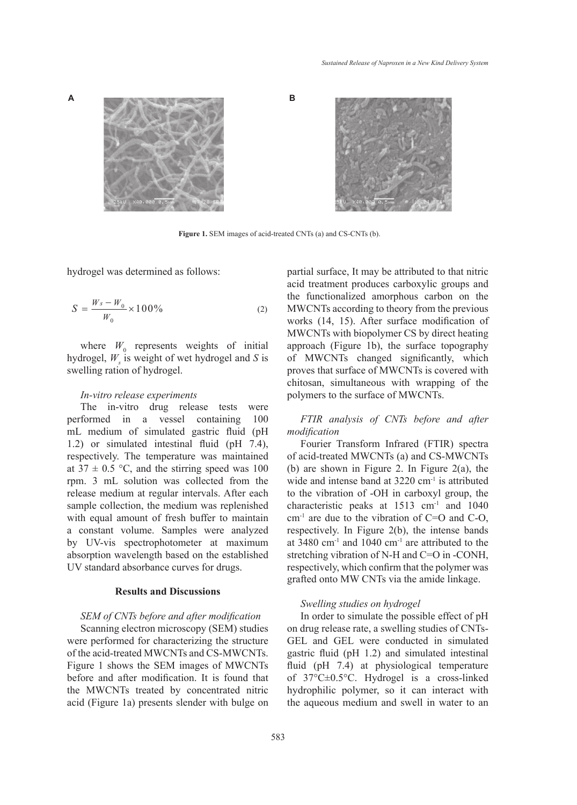



**Figure 1.** SEM images of acid-treated CNTs (a) and CS-CNTs (b).

hydrogel was determined as follows:

$$
S = \frac{W_s - W_0}{W_0} \times 100\%
$$
 (2)

where  $W_0$  represents weights of initial hydrogel,  $W_s$  is weight of wet hydrogel and *S* is swelling ration of hydrogel.

## *In-vitro release experiments*

The in-vitro drug release tests were performed in a vessel containing 100 mL medium of simulated gastric fluid (pH 1.2) or simulated intestinal fluid (pH 7.4), respectively. The temperature was maintained at  $37 \pm 0.5$  °C, and the stirring speed was 100 rpm. 3 mL solution was collected from the release medium at regular intervals. After each sample collection, the medium was replenished with equal amount of fresh buffer to maintain a constant volume. Samples were analyzed by UV-vis spectrophotometer at maximum absorption wavelength based on the established UV standard absorbance curves for drugs.

## **Results and Discussions**

#### *SEM of CNTs before and after modification*

Scanning electron microscopy (SEM) studies were performed for characterizing the structure of the acid-treated MWCNTs and CS-MWCNTs. Figure 1 shows the SEM images of MWCNTs before and after modification. It is found that the MWCNTs treated by concentrated nitric acid (Figure 1a) presents slender with bulge on partial surface, It may be attributed to that nitric acid treatment produces carboxylic groups and the functionalized amorphous carbon on the MWCNTs according to theory from the previous works (14, 15). After surface modification of MWCNTs with biopolymer CS by direct heating approach (Figure 1b), the surface topography of MWCNTs changed significantly, which proves that surface of MWCNTs is covered with chitosan, simultaneous with wrapping of the polymers to the surface of MWCNTs.

# *FTIR analysis of CNTs before and after modification*

Fourier Transform Infrared (FTIR) spectra of acid-treated MWCNTs (a) and CS-MWCNTs (b) are shown in Figure 2. In Figure 2(a), the wide and intense band at 3220 cm<sup>-1</sup> is attributed to the vibration of -OH in carboxyl group, the characteristic peaks at 1513 cm<sup>-1</sup> and 1040  $cm^{-1}$  are due to the vibration of C=O and C-O, respectively. In Figure 2(b), the intense bands at 3480 cm-1 and 1040 cm-1 are attributed to the stretching vibration of N-H and C=O in -CONH, respectively, which confirm that the polymer was grafted onto MW CNTs via the amide linkage.

## *Swelling studies on hydrogel*

In order to simulate the possible effect of pH on drug release rate, a swelling studies of CNTs-GEL and GEL were conducted in simulated gastric fluid (pH 1.2) and simulated intestinal fluid (pH 7.4) at physiological temperature of 37°C±0.5°C. Hydrogel is a cross-linked hydrophilic polymer, so it can interact with the aqueous medium and swell in water to an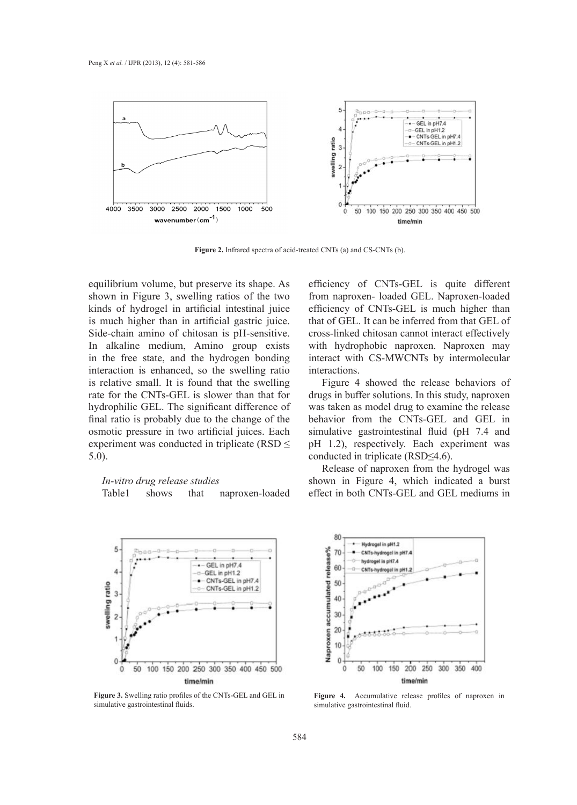

**Figure 2.** Infrared spectra of acid-treated CNTs (a) and CS-CNTs (b).

equilibrium volume, but preserve its shape. As shown in Figure 3, swelling ratios of the two kinds of hydrogel in artificial intestinal juice is much higher than in artificial gastric juice. Side-chain amino of chitosan is pH-sensitive. In alkaline medium, Amino group exists in the free state, and the hydrogen bonding interaction is enhanced, so the swelling ratio is relative small. It is found that the swelling rate for the CNTs-GEL is slower than that for hydrophilic GEL. The significant difference of final ratio is probably due to the change of the osmotic pressure in two artificial juices. Each experiment was conducted in triplicate (RSD  $\leq$ 5.0).

## *In-vitro drug release studies*

Table1 shows that naproxen-loaded



**Figure 3.** Swelling ratio profiles of the CNTs-GEL and GEL in simulative gastrointestinal fluids.

efficiency of CNTs-GEL is quite different from naproxen- loaded GEL. Naproxen-loaded efficiency of CNTs-GEL is much higher than that of GEL. It can be inferred from that GEL of cross-linked chitosan cannot interact effectively with hydrophobic naproxen. Naproxen may interact with CS-MWCNTs by intermolecular interactions.

Figure 4 showed the release behaviors of drugs in buffer solutions. In this study, naproxen was taken as model drug to examine the release behavior from the CNTs-GEL and GEL in simulative gastrointestinal fluid (pH 7.4 and pH 1.2), respectively. Each experiment was conducted in triplicate (RSD≤4.6).

Release of naproxen from the hydrogel was shown in Figure 4, which indicated a burst effect in both CNTs-GEL and GEL mediums in



**Figure 4.** Accumulative release profiles of naproxen in simulative gastrointestinal fluid.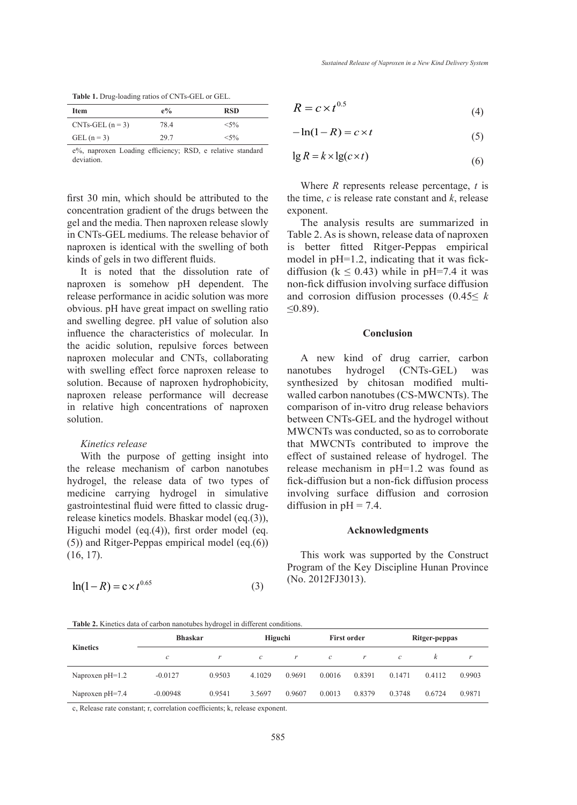| <b>Table 1.</b> Drug-loading ratios of CNTs-GEL or GEL. |  |  |  |  |
|---------------------------------------------------------|--|--|--|--|
|---------------------------------------------------------|--|--|--|--|

| <b>Item</b>      | $e\%$ | <b>RSD</b> |
|------------------|-------|------------|
| $CNTs-GEL (n=3)$ | 78.4  | $<$ 5%     |
| GEL $(n=3)$      | 29.7  | $<$ 5%     |

e%, naproxen Loading efficiency; RSD, e relative standard deviation.

first 30 min, which should be attributed to the concentration gradient of the drugs between the gel and the media. Then naproxen release slowly in CNTs-GEL mediums. The release behavior of naproxen is identical with the swelling of both kinds of gels in two different fluids.

It is noted that the dissolution rate of naproxen is somehow pH dependent. The release performance in acidic solution was more obvious. pH have great impact on swelling ratio and swelling degree. pH value of solution also influence the characteristics of molecular. In the acidic solution, repulsive forces between naproxen molecular and CNTs, collaborating with swelling effect force naproxen release to solution. Because of naproxen hydrophobicity, naproxen release performance will decrease in relative high concentrations of naproxen solution.

## *Kinetics release*

With the purpose of getting insight into the release mechanism of carbon nanotubes hydrogel, the release data of two types of medicine carrying hydrogel in simulative gastrointestinal fluid were fitted to classic drugrelease kinetics models. Bhaskar model (eq.(3)), Higuchi model (eq.(4)), first order model (eq. (5)) and Ritger-Peppas empirical model (eq.(6)) (16, 17).

$$
\ln(1 - R) = c \times t^{0.65}
$$
 (3)

$$
R = c \times t^{0.5} \tag{4}
$$

$$
-\ln(1 - R) = c \times t \tag{5}
$$

$$
\lg R = k \times \lg(c \times t) \tag{6}
$$

Where *R* represents release percentage, *t* is the time, *c* is release rate constant and *k*, release exponent.

The analysis results are summarized in Table 2. As is shown, release data of naproxen is better fitted Ritger-Peppas empirical model in  $pH=1.2$ , indicating that it was fickdiffusion ( $k \le 0.43$ ) while in pH=7.4 it was non-fick diffusion involving surface diffusion and corrosion diffusion processes (0.45≤ *k* ≤0.89).

#### **Conclusion**

A new kind of drug carrier, carbon nanotubes hydrogel (CNTs-GEL) was synthesized by chitosan modified multiwalled carbon nanotubes (CS-MWCNTs). The comparison of in-vitro drug release behaviors between CNTs-GEL and the hydrogel without MWCNTs was conducted, so as to corroborate that MWCNTs contributed to improve the effect of sustained release of hydrogel. The release mechanism in pH=1.2 was found as fick-diffusion but a non-fick diffusion process involving surface diffusion and corrosion diffusion in  $pH = 7.4$ .

#### **Acknowledgments**

This work was supported by the Construct Program of the Key Discipline Hunan Province (No. 2012FJ3013).

**Table 2.** Kinetics data of carbon nanotubes hydrogel in different conditions.

| <b>Kinetics</b>   | <b>Bhaskar</b> |        | Higuchi           |        | <b>First order</b> |        | Ritger-peppas |        |        |
|-------------------|----------------|--------|-------------------|--------|--------------------|--------|---------------|--------|--------|
|                   | $\mathcal{C}$  | r      | $\mathcal{C}_{0}$ |        | $\mathcal{C}$      | r      | $\mathcal{C}$ | ĸ      | r      |
| Naproxen $pH=1.2$ | $-0.0127$      | 0.9503 | 4.1029            | 0.9691 | 0.0016             | 0.8391 | 0.1471        | 0.4112 | 0.9903 |
| Naproxen pH=7.4   | $-0.00948$     | 0.9541 | 3.5697            | 0.9607 | 0.0013             | 0.8379 | 0.3748        | 0.6724 | 0.9871 |

c, Release rate constant; r, correlation coefficients; k, release exponent.